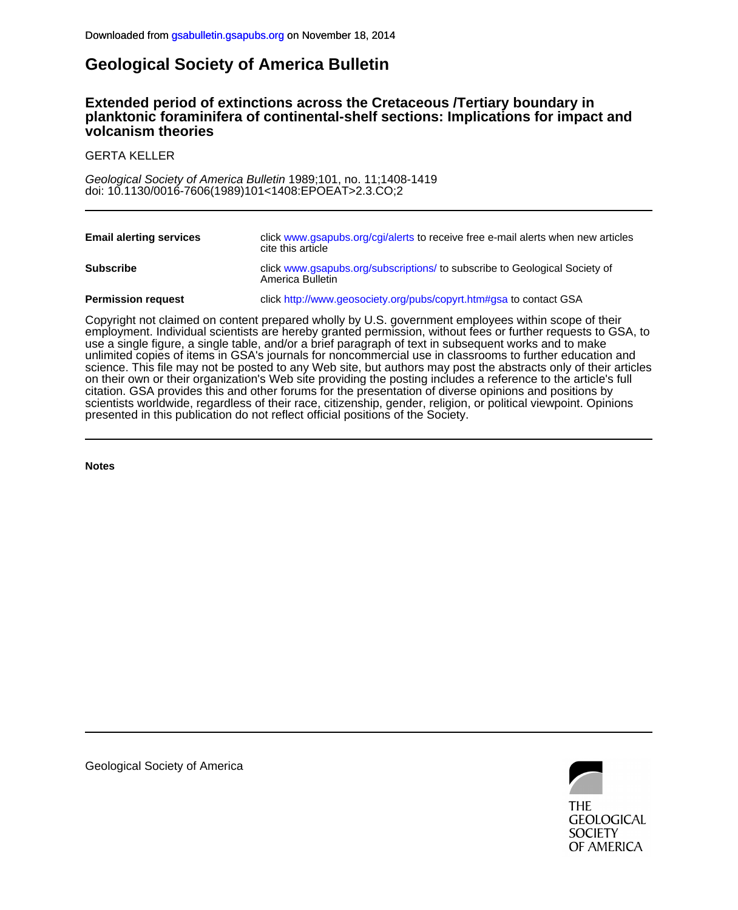## **Geological Society of America Bulletin**

### **volcanism theories planktonic foraminifera of continental-shelf sections: Implications for impact and Extended period of extinctions across the Cretaceous /Tertiary boundary in**

GERTA KELLER

doi: 10.1130/0016-7606(1989)101<1408:EPOEAT>2.3.CO;2 Geological Society of America Bulletin 1989;101, no. 11;1408-1419

| <b>Email alerting services</b> | click www.gsapubs.org/cgi/alerts to receive free e-mail alerts when new articles<br>cite this article |
|--------------------------------|-------------------------------------------------------------------------------------------------------|
| <b>Subscribe</b>               | click www.gsapubs.org/subscriptions/ to subscribe to Geological Society of<br>America Bulletin        |
| <b>Permission request</b>      | click http://www.geosociety.org/pubs/copyrt.htm#gsa to contact GSA                                    |

presented in this publication do not reflect official positions of the Society. scientists worldwide, regardless of their race, citizenship, gender, religion, or political viewpoint. Opinions citation. GSA provides this and other forums for the presentation of diverse opinions and positions by on their own or their organization's Web site providing the posting includes a reference to the article's full science. This file may not be posted to any Web site, but authors may post the abstracts only of their articles unlimited copies of items in GSA's journals for noncommercial use in classrooms to further education and use a single figure, a single table, and/or a brief paragraph of text in subsequent works and to make employment. Individual scientists are hereby granted permission, without fees or further requests to GSA, to Copyright not claimed on content prepared wholly by U.S. government employees within scope of their

**Notes**

**THE GEOLOGICAL SOCIETY** OF AMERICA

Geological Society of America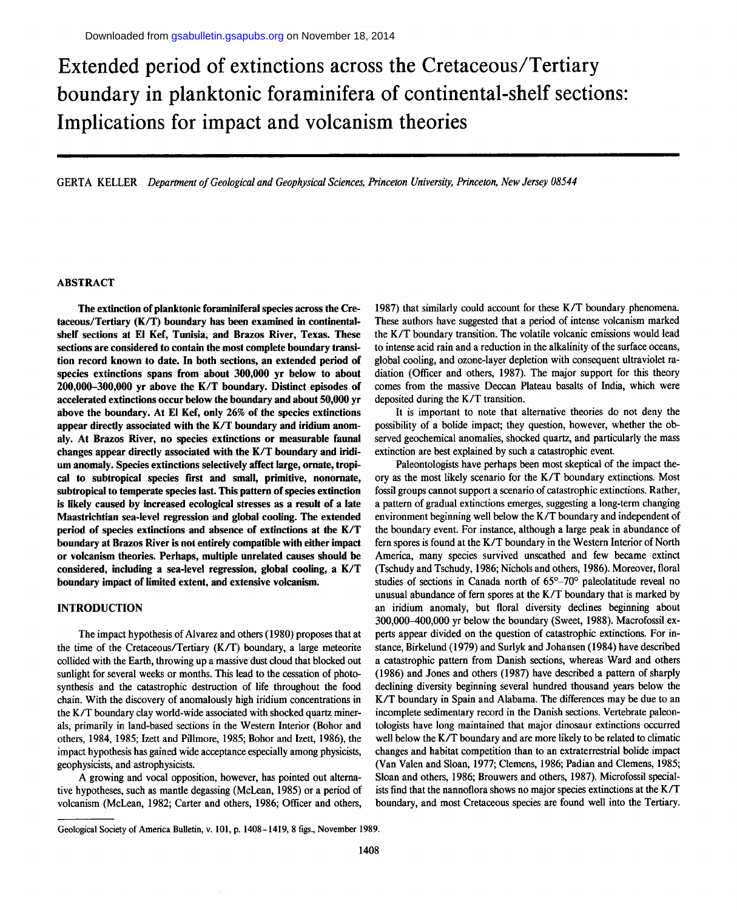# **Extended period of extinctions across the Cretaceous/Tertiary boundary in planktonic foraminifera of continental-shelf sections: Implications for impact and volcanism theories**

GERTA KELLER *Department of Geological and Geophysical Sciences, Princeton University, Princeton, New Jersey 08544* 

#### **ABSTRACT**

**The extinction of planktonic foraminiferal species across the Cretaceous/Tertiary (K/T) boundary has been examined in continentalshelf sections at El Kef, Tunisia, and Brazos River, Texas. These sections are considered to contain the most complete boundary transition record known to date. In both sections, an extended period of species extinctions spans from about 300,000 yr below to about 200,000-300,000 yr above the K/T boundary. Distinct episodes of accelerated extinctions occur below the boundary and about 50,000 yr above the boundary. At El Kef, only 26% of the species extinctions appear directly associated with the K/T boundary and iridium anomaly. At Brazos River, no species extinctions or measurable faunal changes appear directly associated with the K/T boundary and iridium anomaly. Species extinctions selectively affect large, ornate, tropical to subtropical species first and small, primitive, nonornate, subtropical to temperate species last. This pattern of species extinction is likely caused by increased ecological stresses as a result of a late Maastrichtian sea-level regression and global cooling. The extended period of species extinctions and absence of extinctions at the K/T boundary at Brazos River is not entirely compatible with either impact or volcanism theories. Perhaps, multiple unrelated causes should be considered, including a sea-level regression, global cooling, a K/T boundary impact of limited extent, and extensive volcanism.** 

#### **INTRODUCTION**

The impact hypothesis of Alvarez and others (1980) proposes that at the time of the Cretaceous/Tertiary (K/T) boundary, a large meteorite collided with the Earth, throwing up a massive dust cloud that blocked out sunlight for several weeks or months. This lead to the cessation of photosynthesis and the catastrophic destruction of life throughout the food chain. With the discovery of anomalously high iridium concentrations in the K/T boundary clay world-wide associated with shocked quartz minerals, primarily in land-based sections in the Western Interior (Bohor and others, 1984, 1985; Izett and Pillmore, 1985; Bohor and Izett, 1986), the impact hypothesis has gained wide acceptance especially among physicists, geophysicists, and astrophysicists.

A growing and vocal opposition, however, has pointed out alternative hypotheses, such as mantle degassing (McLean, 1985) or a period of volcanism (McLean, 1982; Carter and others, 1986; Officer and others,

1987) that similarly could account for these K/T boundary phenomena. These authors have suggested that a period of intense volcanism marked the K/T boundary transition. The volatile volcanic emissions would lead to intense acid rain and a reduction in the alkalinity of the surface oceans, global cooling, and ozone-layer depletion with consequent ultraviolet radiation (Officer and others, 1987). The major support for this theory comes from the massive Deccan Plateau basalts of India, which were deposited during the K/T transition.

It is important to note that alternative theories do not deny the possibility of a bolide impact; they question, however, whether the observed geochemical anomalies, shocked quartz, and particularly the mass extinction are best explained by such a catastrophic event.

Paleontologists have perhaps been most skeptical of the impact theory as the most likely scenario for the K/T boundary extinctions. Most fossil groups cannot support a scenario of catastrophic extinctions. Rather, a pattern of gradual extinctions emerges, suggesting a long-term changing environment beginning well below the K/T boundary and independent of the boundary event. For instance, although a large peak in abundance of fern spores is found at the K/T boundary in the Western Interior of North America, many species survived unscathed and few became extinct (Tschudy and Tschudy, 1986; Nichols and others, 1986). Moreover, floral studies of sections in Canada north of 65°-70° paleolatitude reveal no unusual abundance of fern spores at the K/T boundary that is marked by an iridium anomaly, but floral diversity declines beginning about 300,000-400,000 yr below the boundary (Sweet, 1988). Macrofossil experts appear divided on the question of catastrophic extinctions. For instance, Birkelund (1979) and Surlyk and Johansen (1984) have described a catastrophic pattern from Danish sections, whereas Ward and others (1986) and Jones and others (1987) have described a pattern of sharply declining diversity beginning several hundred thousand years below the K/T boundary in Spain and Alabama. The differences may be due to an incomplete sedimentary record in the Danish sections. Vertebrate paleontologists have long maintained that major dinosaur extinctions occurred well below the K/T boundary and are more likely to be related to climatic changes and habitat competition than to an extraterrestrial bolide impact (Van Valen and Sloan, 1977; Clemens, 1986; Padian and Clemens, 1985; Sloan and others, 1986; Brouwers and others, 1987). Microfossil specialists find that the nannoflora shows no major species extinctions at the K/T boundary, and most Cretaceous species are found well into the Tertiary.

Geological Society of America Bulletin, v. 101, p. 1408-1419, 8 figs., November 1989.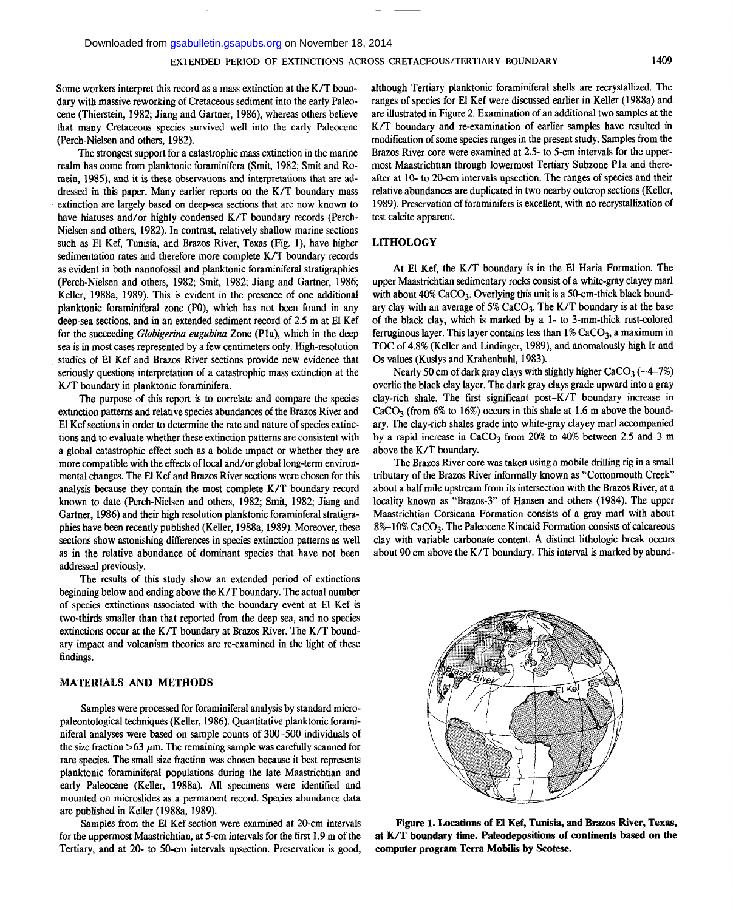Some workers interpret this record as a mass extinction at the K/T boundary with massive reworking of Cretaceous sediment into the early Paleocene (Thierstein, 1982; Jiang and Gartner, 1986), whereas others believe that many Cretaceous species survived well into the early Paleocene (Perch-Nielsen and others, 1982).

The strongest support for a catastrophic mass extinction in the marine realm has come from planktonic foraminifera (Smit, 1982; Smit and Romein, 1985), and it is these observations and interpretations that are addressed in this paper. Many earlier reports on the K/T boundary mass extinction are largely based on deep-sea sections that are now known to have hiatuses and/or highly condensed K/T boundary records (Perch-Nielsen and others, 1982). In contrast, relatively shallow marine sections such as El Kef, Tunisia, and Brazos River, Texas (Fig. 1), have higher sedimentation rates and therefore more complete K/T boundary records as evident in both nannofossil and planktonic foraminiferal stratigraphies (Perch-Nielsen and others, 1982; Smit, 1982; Jiang and Gartner, 1986; Keller, 1988a, 1989). This is evident in the presence of one additional planktonic foraminiferal zone (P0), which has not been found in any deep-sea sections, and in an extended sediment record of 2.5 m at El Kef for the succeeding *Globigerina eugubina* Zone (PIa), which in the deep sea is in most cases represented by a few centimeters only. High-resolution studies of El Kef and Brazos River sections provide new evidence that seriously questions interpretation of a catastrophic mass extinction at the K/T boundary in planktonic foraminifera.

The purpose of this report is to correlate and compare the species extinction patterns and relative species abundances of the Brazos River and El Kef sections in order to determine the rate and nature of species extinctions and to evaluate whether these extinction patterns are consistent with a global catastrophic effect such as a bolide impact or whether they are more compatible with the effects of local and/or global long-term environmental changes. The El Kef and Brazos River sections were chosen for this analysis because they contain the most complete K/T boundary record known to date (Perch-Nielsen and others, 1982; Smit, 1982; Jiang and Gartner, 1986) and their high resolution planktonic foraminferal stratigraphies have been recently published (Keller, 1988a, 1989). Moreover, these sections show astonishing differences in species extinction patterns as well as in the relative abundance of dominant species that have not been addressed previously.

The results of this study show an extended period of extinctions beginning below and ending above the K/T boundary. The actual number of species extinctions associated with the boundary event at El Kef is two-thirds smaller than that reported from the deep sea, and no species extinctions occur at the K/T boundary at Brazos River. The K/T boundary impact and volcanism theories are re-examined in the light of these findings.

#### MATERIALS **AND METHODS**

Samples were processed for foraminiferal analysis by standard micropaleontological techniques (Keller, 1986). Quantitative planktonic foraminiferal analyses were based on sample counts of 300-500 individuals of the size fraction >63  $\mu$ m. The remaining sample was carefully scanned for rare species. The small size fraction was chosen because it best represents planktonic foraminiferal populations during the late Maastrichtian and early Paleocene (Keller, 1988a). All specimens were identified and mounted on microslides as a permanent record. Species abundance data are published in Keller (1988a, 1989).

Samples from the El Kef section were examined at 20-cm intervals for the uppermost Maastrichtian, at 5-cm intervals for the first 1.9 m of the Tertiary, and at 20- to 50-cm intervals upsection. Preservation is good,

although Tertiary planktonic foraminiferal shells are recrystallized. The ranges of species for El Kef were discussed earlier in Keller (1988a) and are illustrated in Figure 2. Examination of an additional two samples at the K/T boundary and re-examination of earlier samples have resulted in modification of some species ranges in the present study. Samples from the Brazos River core were examined at 2.5- to 5-cm intervals for the uppermost Maastrichtian through lowermost Tertiary Subzone Pla and thereafter at 10- to 20-cm intervals upsection. The ranges of species and their relative abundances are duplicated in two nearby outcrop sections (Keller, 1989). Preservation of foraminifers is excellent, with no recrystallization of test calcite apparent.

#### **LITHOLOGY**

At El Kef, the K/T boundary is in the El Haria Formation. The upper Maastrichtian sedimentary rocks consist of a white-gray clayey marl with about  $40\%$  CaCO<sub>3</sub>. Overlying this unit is a 50-cm-thick black boundary clay with an average of  $5\%$  CaCO<sub>3</sub>. The K/T boundary is at the base of the black clay, which is marked by a 1- to 3-mm-thick rust-colored ferruginous layer. This layer contains less than  $1\%$  CaCO<sub>3</sub>, a maximum in TOC of 4.8% (Keller and Lindinger, 1989), and anomalously high Ir and Os values (Kuslys and Krahenbuhl, 1983).

Nearly 50 cm of dark gray clays with slightly higher  $CaCO<sub>3</sub>$  (~4-7%) overlie the black clay layer. The dark gray clays grade upward into a gray clay-rich shale. The first significant post-K/T boundary increase in  $CaCO<sub>3</sub>$  (from 6% to 16%) occurs in this shale at 1.6 m above the boundary. The clay-rich shales grade into white-gray clayey marl accompanied by a rapid increase in  $CaCO<sub>3</sub>$  from 20% to 40% between 2.5 and 3 m above the K/T boundary.

The Brazos River core was taken using a mobile drilling rig in a small tributary of the Brazos River informally known as "Cottonmouth Creek" about a half mile upstream from its intersection with the Brazos River, at a locality known as "Brazos-3" of Hansen and others (1984). The upper Maastrichtian Corsicana Formation consists of a gray marl with about 8%-10% CaCO<sub>3</sub>. The Paleocene Kincaid Formation consists of calcareous clay with variable carbonate content. A distinct lithologic break occurs about 90 cm above the K/T boundary. This interval is marked by abund-



**Figure 1. Locations of El Kef, Tunisia, and Brazos River, Texas, at K/T boundary time. Paleodepositions of continents based on the computer program Terra Mobilis by Scotese.**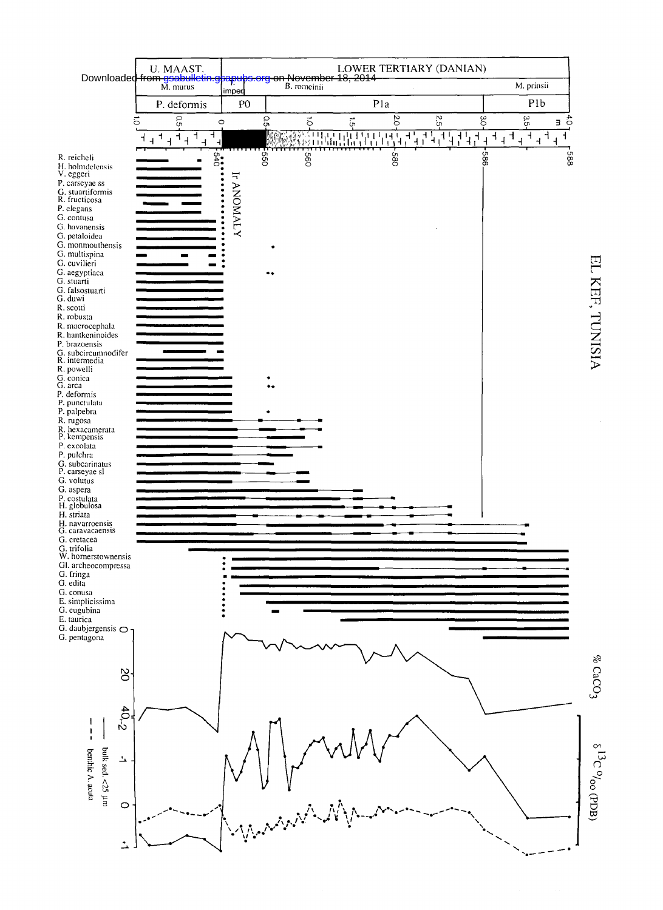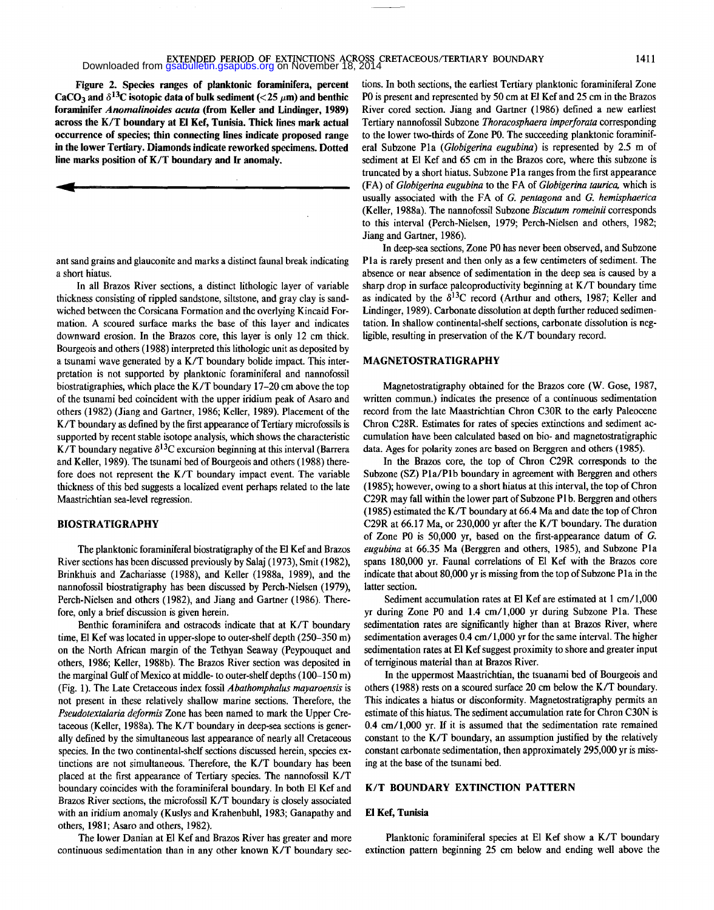## **EXTENDED PERIOD OF EXTINCTIONS ACROSS CRETACEOUS/TERTIARY BOUNDARY EXTENDED PERIOD OF EXTINCTIONS ACROSS CRETACEOUS/TERTIARY BOUNDARY**

**Figure 2. Species ranges of planktonic foraminifera, percent**   $CaCO<sub>3</sub>$  and  $\delta^{13}$ C isotopic data of bulk sediment (<25  $\mu$ m) and benthic **foraminifer** *Anomalinoides acuta* **(from Keller and Lindinger, 1989) across the K/T boundary at El Kef, Tunisia. Thick lines mark actual occurrence of species; thin connecting lines indicate proposed range in the lower Tertiary. Diamonds indicate reworked specimens. Dotted line marks position of K/T boundary and Ir anomaly.** 

ant sand grains and glauconite and marks a distinct faunal break indicating a short hiatus.

In all Brazos River sections, a distinct lithologic layer of variable thickness consisting of rippled sandstone, siltstone, and gray clay is sandwiched between the Corsicana Formation and the overlying Kincaid Formation. A scoured surface marks the base of this layer and indicates downward erosion. In the Brazos core, this layer is only 12 cm thick. Bourgeois and others (1988) interpreted this lithologic unit as deposited by a tsunami wave generated by a K/T boundary bolide impact. This interpretation is not supported by planktonic foraminiferal and nannofossil biostratigraphies, which place the K/T boundary 17-20 cm above the top of the tsunami bed coincident with the upper iridium peak of Asaro and others (1982) (Jiang and Gartner, 1986; Keller, 1989). Placement of the K/T boundary as defined by the first appearance of Tertiary microfossils is supported by recent stable isotope analysis, which shows the characteristic K/T boundary negative  $\delta^{13}$ C excursion beginning at this interval (Barrera and Keller, 1989). The tsunami bed of Bourgeois and others (1988) therefore does not represent the K/T boundary impact event. The variable thickness of this bed suggests a localized event perhaps related to the late Maastrichtian sea-level regression.

#### **BIOSTRATIGRAPHY**

The planktonic foraminiferal biostratigraphy of the El Kef and Brazos River sections has been discussed previously by Salaj (1973), Smit (1982), Brinkhuis and Zachariasse (1988), and Keller (1988a, 1989), and the nannofossil biostratigraphy has been discussed by Perch-Nielsen (1979), Perch-Nielsen and others (1982), and Jiang and Gartner (1986). Therefore, only a brief discussion is given herein.

Benthic foraminifera and ostracods indicate that at K/T boundary time, El Kef was located in upper-slope to outer-shelf depth (250-350 m) on the North African margin of the Tethyan Seaway (Peypouquet and others, 1986; Keller, 1988b). The Brazos River section was deposited in the marginal Gulf of Mexico at middle- to outer-shelf depths (100-150 m) (Fig. 1). The Late Cretaceous index fossil *Abathomphalus mayaroensis* is not present in these relatively shallow marine sections. Therefore, the *Pseudotextalaria deformis* Zone has been named to mark the Upper Cretaceous (Keller, 1988a). The K/T boundary in deep-sea sections is generally defined by the simultaneous last appearance of nearly all Cretaceous species. In the two continental-shelf sections discussed herein, species extinctions are not simultaneous. Therefore, the K/T boundary has been placed at the first appearance of Tertiary species. The nannofossil K/T boundary coincides with the foraminiferal boundary. In both El Kef and Brazos River sections, the microfossil K/T boundary is closely associated with an iridium anomaly (Kuslys and Krahenbuhl, 1983; Ganapathy and others, 1981; Asaro and others, 1982).

The lower Danian at El Kef and Brazos River has greater and more continuous sedimentation than in any other known K/T boundary sections. In both sections, the earliest Tertiary planktonic foraminiferal Zone P0 is present and represented by 50 cm at El Kef and 25 cm in the Brazos River cored section. Jiang and Gartner (1986) defined a new earliest Tertiary nannofossil Subzone *Thoracosphaera imperforate* corresponding to the lower two-thirds of Zone P0. The succeeding planktonic foraminiferal Subzone Pla (*Globigerina eugubina)* is represented by 2.5 m of sediment at El Kef and 65 cm in the Brazos core, where this subzone is truncated by a short hiatus. Subzone Pla ranges from the first appearance (FA) of *Globigerina eugubina* to the FA of *Globigerina taurica,* which is usually associated with the FA of *G. pentagona* and *G. hemisphaerica*  (Keller, 1988a). The nannofossil Subzone *Biscutum romeinii* corresponds to this interval (Perch-Nielsen, 1979; Perch-Nielsen and others, 1982; Jiang and Gartner, 1986).

In deep-sea sections, Zone P0 has never been observed, and Subzone Pla is rarely present and then only as a few centimeters of sediment. The absence or near absence of sedimentation in the deep sea is caused by a sharp drop in surface paleoproductivity beginning at K/T boundary time as indicated by the  $\delta^{13}$ C record (Arthur and others, 1987; Keller and Lindinger, 1989). Carbonate dissolution at depth further reduced sedimentation. In shallow continental-shelf sections, carbonate dissolution is negligible, resulting in preservation of the K/T boundary record.

#### **MAGNETOSTRATIGRAPHY**

Magnetostratigraphy obtained for the Brazos core (W. Gose, 1987, written commun.) indicates the presence of a continuous sedimentation record from the late Maastrichtian Chron C30R to the early Paleocene Chron C28R. Estimates for rates of species extinctions and sediment accumulation have been calculated based on bio- and magnetostratigraphic data. Ages for polarity zones are based on Berggren and others (1985).

In the Brazos core, the top of Chron C29R corresponds to the Subzone (SZ) Pla/Plb boundary in agreement with Berggren and others (1985); however, owing to a short hiatus at this interval, the top of Chron C29R may fall within the lower part of Subzone Plb. Berggren and others (1985) estimated the K/T boundary at 66.4 Ma and date the top of Chron C29R at 66.17 Ma, or 230,000 yr after the K/T boundary. The duration of Zone P0 is 50,000 yr, based on the first-appearance datum of *G. eugubina* at 66.35 Ma (Berggren and others, 1985), and Subzone Pla spans 180,000 yr. Faunal correlations of El Kef with the Brazos core indicate that about 80,000 yr is missing from the top of Subzone Pla in the latter section.

Sediment accumulation rates at El Kef are estimated at 1 cm/1,000 yr during Zone P0 and 1.4 cm/1,000 yr during Subzone Pla. These sedimentation rates are significantly higher than at Brazos River, where sedimentation averages 0.4 cm/1,000 yr for the same interval. The higher sedimentation rates at El Kef suggest proximity to shore and greater input of terriginous material than at Brazos River.

In the uppermost Maastrichtian, the tsuanami bed of Bourgeois and others (1988) rests on a scoured surface 20 cm below the K/T boundary. This indicates a hiatus or disconformity. Magnetostratigraphy permits an estimate of this hiatus. The sediment accumulation rate for Chron C30N is 0.4 cm/1,000 yr. If it is assumed that the sedimentation rate remained constant to the K/T boundary, an assumption justified by the relatively constant carbonate sedimentation, then approximately 295,000 yr is missing at the base of the tsunami bed.

#### **K/T BOUNDARY EXTINCTION PATTERN**

#### **El Kef, Tunisia**

Planktonic foraminiferal species at El Kef show a K/T boundary extinction pattern beginning 25 cm below and ending well above the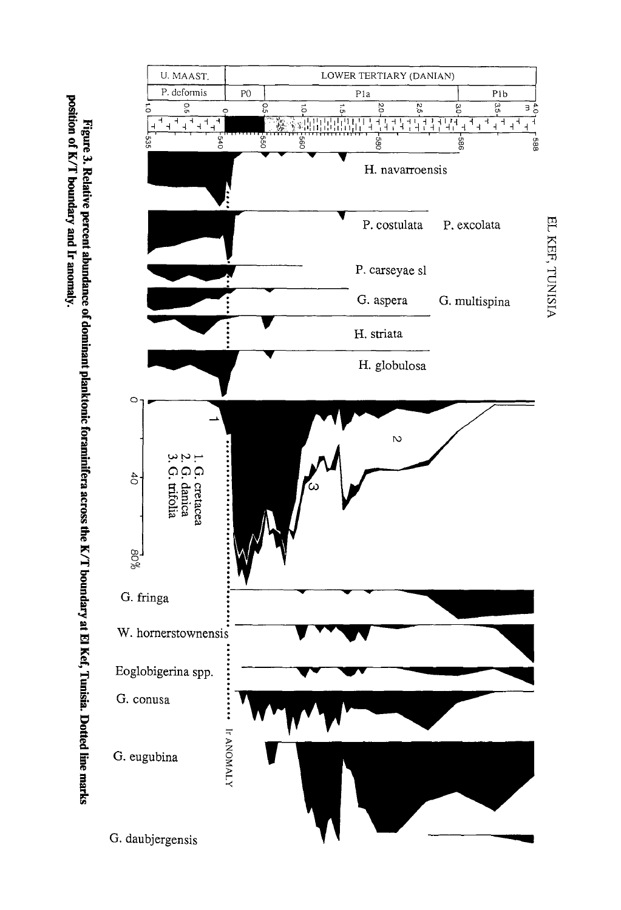position of K/T boundary and Ir anomaly. Figure 3. Relative percent abundance of dominant planktonic foraminifera across the K/T boundary at El Kef, Tunisia. Dotted line marks

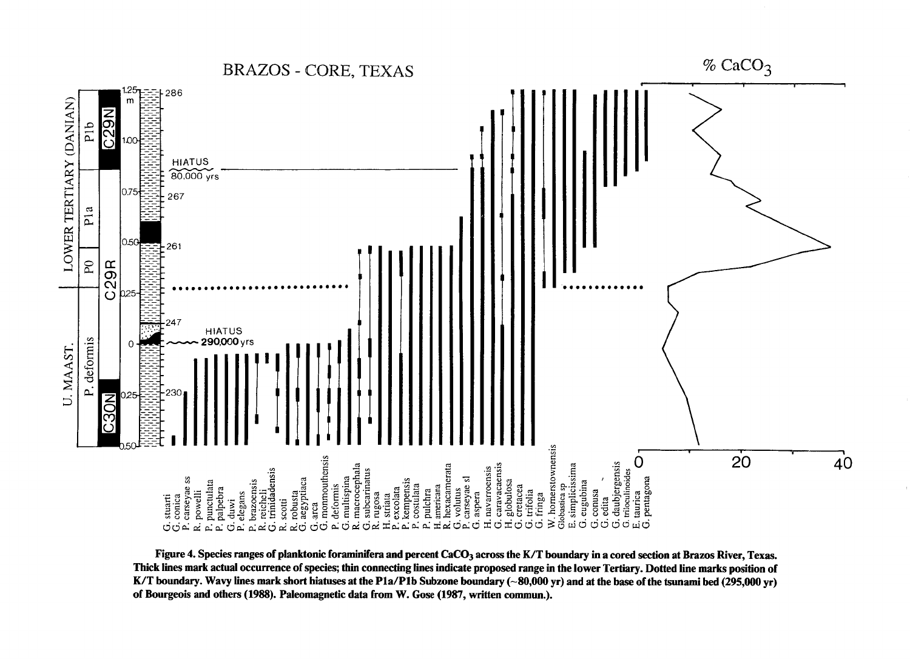$%$  CaCO<sub>3</sub> **BRAZOS - CORE, TEXAS** 286 LOWER TERTIARY (DANIAN)  $\overline{\overline{\mathcal{O}}}$ dld  $\circ$ HIATUS<br>80,000 yrs 075 267 Pla 0.50 261  $\mathsf{P}0$ C<sub>29R</sub> HIATUS<br>290,000 yrs P. deformis U. MAAST. ZON<br>S W. hornerstownensis<br>Globasuca sp  $20^{\circ}$ monmouthensis  $G. comas  
\nG. edita  
\n $G. doubjergensis$   
\n $G. riioculinoides$   
\n $E. aurica$   
\n $G. pentagona$$  $\overline{40}$ H. navarroensis<br>G. caravacaensis<br>H. globulosa<br>G. creacea<br>G. trifolia  $\overline{O}$ . multispina<br>. macrocephala<br>. subcarinatus . pulchra<br>. americana<br>. hexacamerata<br>. voluus<br>. carseyae sl<br>. aspera . simplicissima<br>i. eugubina  $G. dwi$ <br>
P. elegans<br>
P. brazoensis<br>
P. brazoensis<br>
C. reicheli<br>
G. segyptiaa<br>  $R$ , segyptiaa<br>  $G$ , area<br>  $G$ , area<br>  $G$ , area<br>  $G$ , area<br>  $G$ , area<br>  $G$ , area<br>  $G$ , area<br>  $G$ , area<br>  $G$ , area<br>  $G$ , area<br>  $G$ , area<br>  $G$ , ar . stuarti<br>. conica<br>. carseyae ss<br>. powelli punctulata<br>palpebra deformis  ${\rm fringa}$ ต่ต่ต่  $\vec{E}$ نہ റ്ച ယ် (၁ غەن Ġ  $\vec{C}$ உங்க்கு ല്്ല്

Figure 4. Species ranges of planktonic foraminifera and percent CaCO<sub>3</sub> across the K/T boundary in a cored section at Brazos River, Texas. Thick lines mark actual occurrence of species; thin connecting lines indicate proposed range in the lower Tertiary. Dotted line marks position of K/T boundary. Wavy lines mark short hiatuses at the P1a/P1b Subzone boundary (~80,000 yr) and at the base of the tsunami bed (295,000 yr) of Bourgeois and others (1988). Paleomagnetic data from W. Gose (1987, written commun.).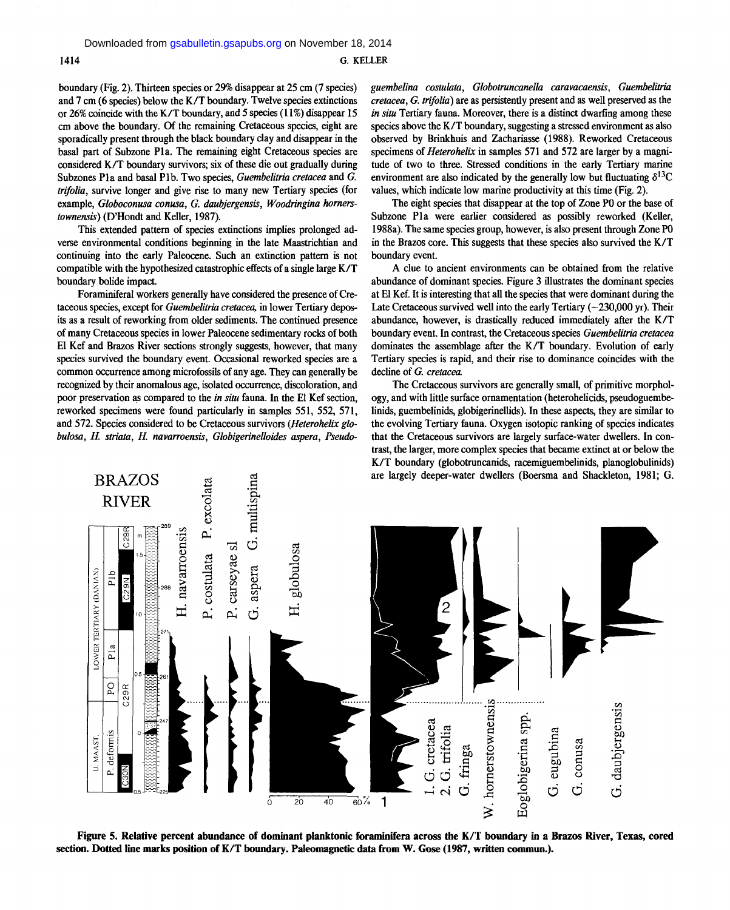boundary (Fig. 2). Thirteen species or 29% disappear at 25 cm (7 species) and 7 cm (6 species) below the K/T boundary. Twelve species extinctions or 26% coincide with the K/T boundary, and 5 species (11%) disappear 15 cm above the boundary. Of the remaining Cretaceous species, eight are sporadically present through the black boundary clay and disappear in the basal part of Subzone P1a. The remaining eight Cretaceous species are considered K/T boundary survivors; six of these die out gradually during Subzones P1a and basal P1b. Two species, *Guembelitria cretacea* and *G*. *trifolia,* survive longer and give rise to many new Tertiary species (for example, *Globoconusa conusa, G. daubjergensis, Woodringina hornerstownensis)* (D'Hondt and Keller, 1987).

This extended pattern of species extinctions implies prolonged adverse environmental conditions beginning in the late Maastrichtian and continuing into the early Paleocene. Such an extinction pattern is not compatible with the hypothesized catastrophic effects of a single large K/T boundary bolide impact.

Foraminiferal workers generally have considered the presence of Cretaceous species, except for *Guembelitria cretacea,* in lower Tertiary deposits as a result of reworking from older sediments. The continued presence of many Cretaceous species in lower Paleocene sedimentary rocks of both El Kef and Brazos River sections strongly suggests, however, that many species survived the boundary event. Occasional reworked species are a common occurrence among microfossils of any age. They can generally be recognized by their anomalous age, isolated occurrence, discoloration, and poor preservation as compared to the *in situ* fauna. In the El Kef section, reworked specimens were found particularly in samples 551, 552, 571, and 572. Species considered to be Cretaceous survivors (*Heterohelix globulosa, H. striata, H. navarroensis, Globigerinelloides aspera, Pseudo-* guembelina costulata, Globotruncanella caravacaensis, Guembelitria *cretacea, G. trifolia)* are as persistently present and as well preserved as the *in situ* Tertiary fauna. Moreover, there is a distinct dwarfing among these species above the K/T boundary, suggesting a stressed environment as also observed by Brinkhuis and Zachariasse (1988). Reworked Cretaceous specimens of *Heterohelix* in samples 571 and 572 are larger by a magnitude of two to three. Stressed conditions in the early Tertiary marine environment are also indicated by the generally low but fluctuating  $\delta^{13}C$ values, which indicate low marine productivity at this time (Fig. 2).

The eight species that disappear at the top of Zone PO or the base of Subzone Pla were earlier considered as possibly reworked (Keller, 1988a). The same species group, however, is also present through Zone PO in the Brazos core. This suggests that these species also survived the K/T boundary event.

A clue to ancient environments can be obtained from the relative abundance of dominant species. Figure 3 illustrates the dominant species at El Kef. It is interesting that all the species that were dominant during the Late Cretaceous survived well into the early Tertiary  $(-230,000 \text{ yr})$ . Their abundance, however, is drastically reduced immediately after the K/T boundary event. In contrast, the Cretaceous species *Guembelitria cretacea*  dominates the assemblage after the K/T boundary. Evolution of early Tertiary species is rapid, and their rise to dominance coincides with the decline of *G. cretacea.* 

The Cretaceous survivors are generally small, of primitive morphology, and with little surface ornamentation (heterohelicids, pseudoguembelinids, guembelinids, globigerinellids). In these aspects, they are similar to the evolving Tertiary fauna. Oxygen isotopic ranking of species indicates that the Cretaceous survivors are largely surface-water dwellers. In contrast, the larger, more complex species that became extinct at or below the K/T boundary (globotruncanids, racemiguembelinids, planoglobulinids) are largely deeper-water dwellers (Boersma and Shackleton, 1981; G.



**Figure 5. Relative percent abundance of dominant planktonic foraminifera across the K/T boundary in a Brazos River, Texas, cored section. Dotted line marks position of K/T boundary. Paleomagnetic data from W. Gose (1987, written commun.).**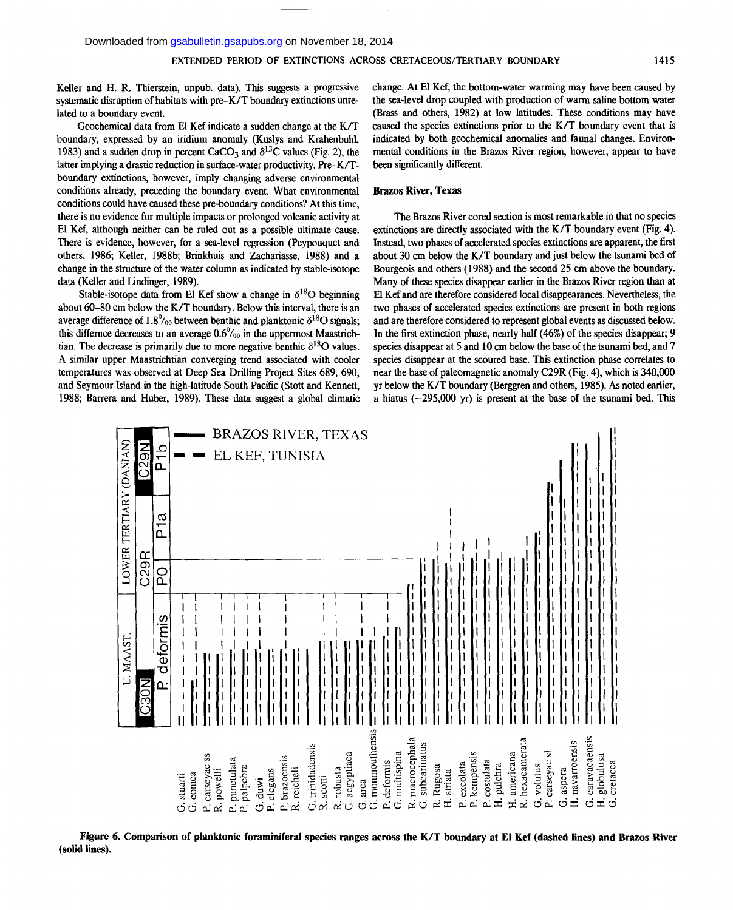Keller and H. R. Thierstein, unpub. data). This suggests a progressive systematic disruption of habitats with pre-K/T boundary extinctions unrelated to a boundary event.

Geochemical data from El Kef indicate a sudden change at the K/T boundary, expressed by an iridium anomaly (Kuslys and Krahenbuhl, 1983) and a sudden drop in percent CaCO<sub>3</sub> and  $\delta^{13}$ C values (Fig. 2), the latter implying a drastic reduction in surface-water productivity. Pre- K/Tboundary extinctions, however, imply changing adverse environmental conditions already, preceding the boundary event. What environmental conditions could have caused these pre-boundary conditions? At this time, there is no evidence for multiple impacts or prolonged volcanic activity at El Kef, although neither can be ruled out as a possible ultimate cause. There is evidence, however, for a sea-level regression (Peypouquet and others, 1986; Keller, 1988b; Brinkhuis and Zachariasse, 1988) and a change in the structure of the water column as indicated by stable-isotope data (Keller and Lindinger, 1989).

Stable-isotope data from El Kef show a change in  $\delta^{18}O$  beginning about 60-80 cm below the K/T boundary. Below this interval, there is an average difference of  $1.8\%$  between benthic and planktonic  $\delta^{18}O$  signals; this differnce decreases to an average  $0.6\%$ <sub>00</sub> in the uppermost Maastrichtian. The decrease is primarily due to more negative benthic  $\delta^{18}O$  values. A similar upper Maastrichtian converging trend associated with cooler temperatures was observed at Deep Sea Drilling Project Sites 689, 690, and Seymour Island in the high-latitude South Pacific (Stott and Kennett, 1988; Barrera and Huber, 1989). These data suggest a global climatic change. At El Kef, the bottom-water warming may have been caused by the sea-level drop coupled with production of warm saline bottom water (Brass and others, 1982) at low latitudes. These conditions may have caused the species extinctions prior to the K/T boundary event that is indicated by both geochemical anomalies and faunal changes. Environmental conditions in the Brazos River region, however, appear to have been significantly different.

#### **Brazos River, Texas**

The Brazos River cored section is most remarkable in that no species extinctions are directly associated with the K/T boundary event (Fig. 4). Instead, two phases of accelerated species extinctions are apparent, the first about 30 cm below the K/T boundary and just below the tsunami bed of Bourgeois and others (1988) and the second 25 cm above the boundary. Many of these species disappear earlier in the Brazos River region than at El Kef and are therefore considered local disappearances. Nevertheless, the two phases of accelerated species extinctions are present in both regions and are therefore considered to represent global events as discussed below. In the first extinction phase, nearly half (46%) of the species disappear; 9 species disappear at 5 and 10 cm below the base of the tsunami bed, and 7 species disappear at the scoured base. This extinction phase correlates to near the base of paleomagnetic anomaly C29R (Fig. 4), which is 340,000 yr below the K/T boundary (Berggren and others, 1985). As noted earlier, a hiatus ( $\sim$ 295,000 yr) is present at the base of the tsunami bed. This



**Figure 6. Comparison of planktonic foraminiferal species ranges across the K/T boundary at El Kef (dashed lines) and Brazos River (solid lines).**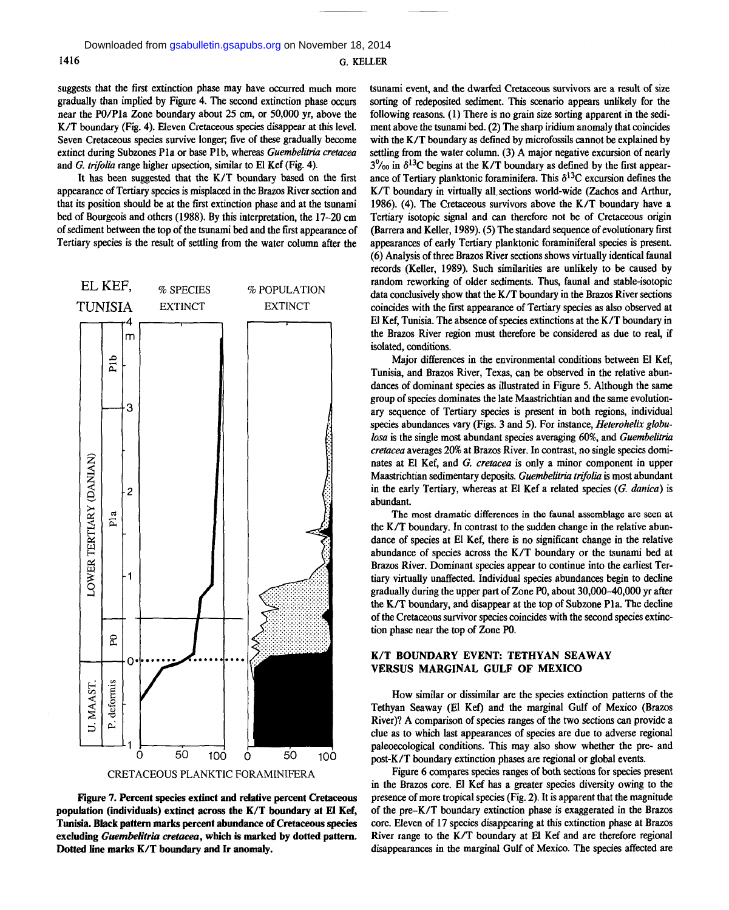suggests that the first extinction phase may have occurred much more gradually than implied by Figure 4. The second extinction phase occurs near the PO/Pla Zone boundary about 25 cm, or 50,000 yr, above the K/T boundary (Fig. 4). Eleven Cretaceous species disappear at this level. Seven Cretaceous species survive longer; five of these gradually become extinct during Subzones Pla or base Plb, whereas *Guembelitria cretacea*  and *G. trifolia* range higher upsection, similar to El Kef (Fig. 4).

It has been suggested that the K/T boundary based on the first appearance of Tertiary species is misplaced in the Brazos River section and that its position should be at the first extinction phase and at the tsunami bed of Bourgeois and others (1988). By this interpretation, the 17-20 cm of sediment between the top of the tsunami bed and the first appearance of Tertiary species is the result of settling from the water column after the





**Figure 7. Percent species extinct and relative percent Cretaceous population (individuals) extinct across the K/T boundary at El Kef, Tunisia. Black pattern marks percent abundance of Cretaceous species excluding** *Guembelitria cretacea,* **which is marked by dotted pattern. Dotted line marks K/T boundary and Ir anomaly.** 

tsunami event, and the dwarfed Cretaceous survivors are a result of size sorting of redeposited sediment. This scenario appears unlikely for the following reasons. (1) There is no grain size sorting apparent in the sediment above the tsunami bed. (2) The sharp iridium anomaly that coincides with the K/T boundary as defined by microfossils cannot be explained by settling from the water column. (3) A major negative excursion of nearly  $3\%$  in  $\delta^{13}$ C begins at the K/T boundary as defined by the first appearance of Tertiary planktonic foraminifera. This  $\delta^{13}C$  excursion defines the K/T boundary in virtually all, sections world-wide (Zachos and Arthur, 1986). (4). The Cretaceous survivors above the K/T boundary have a Tertiary isotopic signal and can therefore not be of Cretaceous origin (Barrera and Keller, 1989). (5) The standard sequence of evolutionary first appearances of early Tertiary planktonic foraminiferal species is present. (6) Analysis of three Brazos River sections shows virtually identical faunal records (Keller, 1989). Such similarities are unlikely to be caused by random reworking of older sediments. Thus, faunal and stable-isotopic data conclusively show that the K/T boundary in the Brazos River sections coincides with the first appearance of Tertiary species as also observed at El Kef, Tunisia. The absence of species extinctions at the K/T boundary in the Brazos River region must therefore be considered as due to real, if isolated, conditions.

Major differences in the environmental conditions between El Kef, Tunisia, and Brazos River, Texas, can be observed in the relative abundances of dominant species as illustrated in Figure 5. Although the same group of species dominates the late Maastrichtian and the same evolutionary sequence of Tertiary species is present in both regions, individual species abundances vary (Figs. 3 and 5). For instance, *Heterohelix globulosa* is the single most abundant species averaging 60%, and *Guembelitria cretacea* averages 20% at Brazos River. In contrast, no single species dominates at El Kef, and *G. cretacea* is only a minor component in upper Maastrichtian sedimentary deposits. *Guembelitria trifolia* is most abundant in the early Tertiary, whereas at El Kef a related species (*G. danica)* is abundant.

The **most dramatic** differences **in** the **faunal** assemblage **are** seen at the K/T boundary. In contrast to the sudden change in the relative abundance of species at El Kef, there is no significant change in the relative abundance of species across the K/T boundary or the tsunami bed at Brazos River. Dominant species appear to continue into the earliest Tertiary virtually unaffected. Individual species abundances begin to decline gradually during the upper part of Zone P0, about 30,000-40,000 yr after the K/T boundary, and disappear at the top of Subzone Pla. The decline of the Cretaceous survivor species coincides with the second species extinction phase near the top of Zone P0.

#### **K/T BOUNDARY EVENT: TETHYAN SEAWAY VERSUS MARGINAL GULF OF MEXICO**

How similar or dissimilar are the species extinction patterns of the Tethyan Seaway (El Kef) and the marginal Gulf of Mexico (Brazos River)? A comparison of species ranges of the two sections can provide a clue as to which last appearances of species are due to adverse regional paleoecological conditions. This may also show whether the pre- and post-K/T boundary extinction phases are regional or global events.

Figure 6 compares species ranges of both sections for species present in the Brazos core. El Kef has a greater species diversity owing to the presence of more tropical species (Fig. 2). It is apparent that the magnitude of the pre-K/T boundary extinction phase is exaggerated in the Brazos core. Eleven of 17 species disappearing at this extinction phase at Brazos River range to the K/T boundary at El Kef and are therefore regional disappearances in the marginal Gulf of Mexico. The species affected are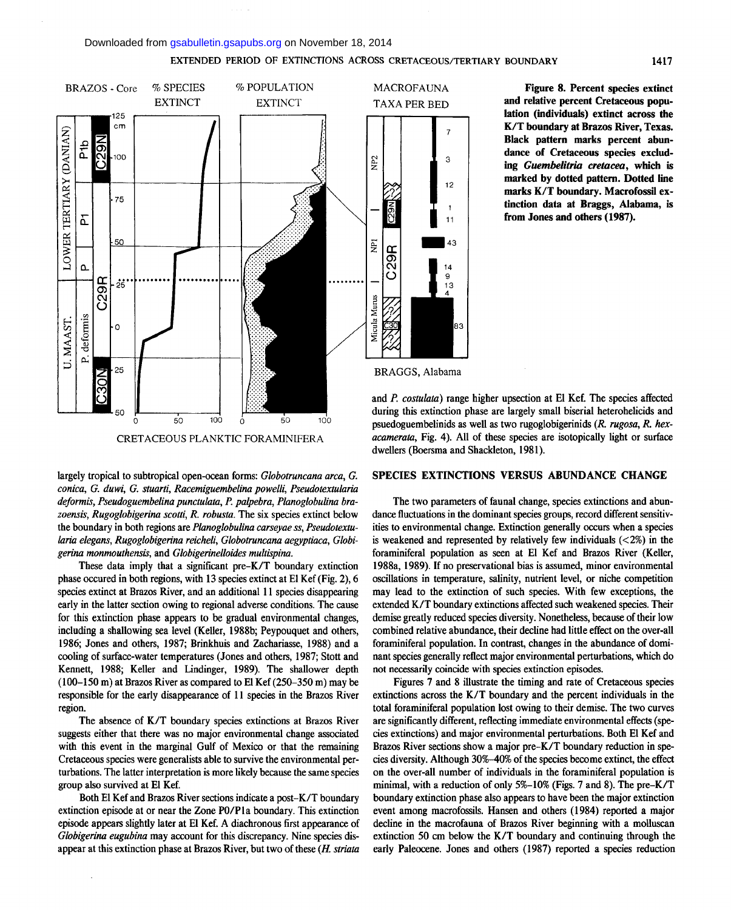#### Downloaded from [gsabulletin.gsapubs.org](http://gsabulletin.gsapubs.org/) on November 18, 2014

#### **EXTENDED PERIOD OF EXTINCTIONS ACROSS CRETACEOUS/TERTIARY BOUNDARY 1417**



**Figure 8. Percent species extinct and relative percent Cretaceous population (individuals) extinct across the K/T boundary at Brazos River, Texas. Black pattern marks percent abundance of Cretaceous species excluding** *Guembelitria cretacea,* **which is marked by dotted pattern. Dotted line marks K/T boundary. Macrofossil extinction data at Braggs, Alabama, is from Jones and others (1987).** 



 $\mathbf{A}$ 

 $12$ 

 $11$ 

 $45$ 

 $14$ 9

 $13$ 

83

and *P. costulata)* range higher upsection at El Kef. The species affected during this extinction phase are largely small biserial heterohelicids and psuedoguembelinids as well as two rugoglobigerinids *(R. rugosa, R. hexacamerata,* Fig. 4). All of these species are isotopically light or surface dwellers (Boersma and Shackleton, 1981).

#### **SPECIES EXTINCTIONS VERSUS ABUNDANCE CHANGE**

The two parameters of faunal change, species extinctions and abundance fluctuations in the dominant species groups, record different sensitivities to environmental change. Extinction generally occurs when a species is weakened and represented by relatively few individuals  $\left\langle \langle 2\% \rangle \right\rangle$  in the foraminiferal population as seen at El Kef and Brazos River (Keller, 1988a, 1989). If no preservational bias is assumed, minor environmental oscillations in temperature, salinity, nutrient level, or niche competition may lead to the extinction of such species. With few exceptions, the extended K/T boundary extinctions affected such weakened species. Their demise greatly reduced species diversity. Nonetheless, because of their low combined relative abundance, their decline had little effect on the over-all foraminiferal population. In contrast, changes in the abundance of dominant species generally reflect major environmental perturbations, which do not necessarily coincide with species extinction episodes.

Figures 7 and 8 illustrate the timing and rate of Cretaceous species extinctions across the K/T boundary and the percent individuals in the total foraminiferal population lost owing to their demise. The two curves are significantly different, reflecting immediate environmental effects (species extinctions) and major environmental perturbations. Both El Kef and Brazos River sections show a major pre-K/T boundary reduction in species diversity. Although 30%-40% of the species become extinct, the effect on the over-all number of individuals in the foraminiferal population is minimal, with a reduction of only 5%-10% (Figs. 7 and 8). The pre-K/T boundary extinction phase also appears to have been the major extinction event among macrofossils. Hansen and others (1984) reported a major decline in the macrofauna of Brazos River beginning with a molluscan extinction 50 cm below the K/T boundary and continuing through the early Paleocene. Jones and others (1987) reported a species reduction

largely tropical to subtropical open-ocean forms: *Globotruncana area, G. conica, G. duwi, G. stuarti, Racemiguembelina powelli, Pseudotextularia deformis, Pseudoguembelina punctulata, P. palpebra, Planoglobulina bra*zoensis, Rugoglobigerina scotti, R. robusta. The six species extinct below the boundary in both regions are *Planoglobulina carseyae ss, Pseudotextularia elegans, Rugoglobigerina reicheli, Globotruncana aegyptiaca, Globigerina monmouthensis,* and *Globigerinelloides multispina.* 

These data imply that a significant pre-K/T boundary extinction phase occured in both regions, with 13 species extinct at El Kef (Fig. 2), 6 species extinct at Brazos River, and an additional 11 species disappearing early in the latter section owing to regional adverse conditions. The cause for this extinction phase appears to be gradual environmental changes, including a shallowing sea level (Keller, 1988b; Peypouquet and others, 1986; Jones and others, 1987; Brinkhuis and Zachariasse, 1988) and a cooling of surface-water temperatures (Jones and others, 1987; Stott and Kennett, 1988; Keller and Lindinger, 1989). The shallower depth (100-150 m) at Brazos River as compared to El Kef (250-350 m) may be responsible for the early disappearance of 11 species in the Brazos River region.

The absence of K/T boundary species extinctions at Brazos River suggests either that there was no major environmental change associated with this event in the marginal Gulf of Mexico or that the remaining Cretaceous species were generalists able to survive the environmental perturbations. The latter interpretation is more likely because the same species group also survived at El Kef.

Both El Kef and Brazos River sections indicate a post-K/T boundary extinction episode at or near the Zone PO/Pla boundary. This extinction episode appears slightly later at El Kef. A diachronous first appearance of *Globigerina eugubina* may account for this discrepancy. Nine species disappear at this extinction phase at Brazos River, but two of these *(H. striata*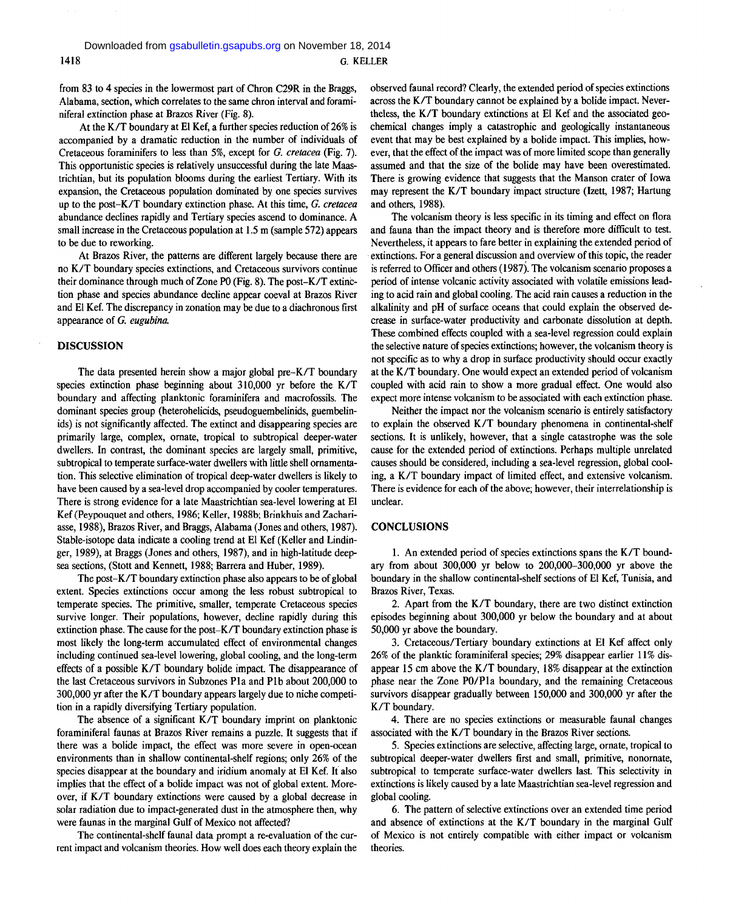from 83 to 4 species in the lowermost part of Chron C29R in the Braggs, Alabama, section, which correlates to the same chron interval and foraminiferal extinction phase at Brazos River (Fig. 8).

At the K/T boundary at El Kef, a further species reduction of 26% is accompanied by a dramatic reduction in the number of individuals of Cretaceous foraminifers to less than 5%, except for *G. cretacea* (Fig. 7). This opportunistic species is relatively unsuccessful during the late Maastrichtian, but its population blooms during the earliest Tertiary. With its expansion, the Cretaceous population dominated by one species survives up to the post-K/T boundary extinction phase. At this time, *G. cretacea*  abundance declines rapidly and Tertiary species ascend to dominance. A small increase in the Cretaceous population at 1.5 m (sample 572) appears to be due to reworking.

At Brazos River, the patterns are different largely because there are no K/T boundary species extinctions, and Cretaceous survivors continue their dominance through much of Zone PO (Fig. 8). The post-K/T extinction phase and species abundance decline appear coeval at Brazos River and El Kef. The discrepancy in zonation may be due to a diachronous first appearance of *G. eugubina.* 

#### **DISCUSSION**

The data presented herein show a major global pre-K/T boundary species extinction phase beginning about 310,000 yr before the K/T boundary and affecting planktonic foraminifera and macrofossils. The dominant species group (heterohelicids, pseudoguembelinids, guembelinids) is not significantly affected. The extinct and disappearing species are primarily large, complex, ornate, tropical to subtropical deeper-water dwellers. In contrast, the dominant species are largely small, primitive, subtropical to temperate surface-water dwellers with little shell ornamentation. This selective elimination of tropical deep-water dwellers is likely to have been caused by a sea-level drop accompanied by cooler temperatures. There is strong evidence for a late Maastrichtian sea-level lowering at El Kef (Peypouquet and others, 1986; Keller, 1988b; Brinkhuis and Zachariasse, 1988), Brazos River, and Braggs, Alabama (Jones and others, 1987). Stable-isotope data indicate a cooling trend at El Kef (Keller and Lindinger, 1989), at Braggs (Jones and others, 1987), and in high-latitude deepsea sections, (Stott and Kennett, 1988; Barrera and Huber, 1989).

The post-K/T boundary extinction phase also appears to be of global extent. Species extinctions occur among the less robust subtropical to temperate species. The primitive, smaller, temperate Cretaceous species survive longer. Their populations, however, decline rapidly during this extinction phase. The cause for the post-K/T boundary extinction phase is most likely the long-term accumulated effect of environmental changes including continued sea-level lowering, global cooling, and the long-term effects of a possible K/T boundary bolide impact. The disappearance of the last Cretaceous survivors in Subzones Pla and Plb about 200,000 to 300,000 yr after the K/T boundary appears largely due to niche competition in a rapidly diversifying Tertiary population.

The absence of a significant K/T boundary imprint on planktonic foraminiferal faunas at Brazos River remains a puzzle. It suggests that if there was a bolide impact, the effect was more severe in open-ocean environments than in shallow continental-shelf regions; only 26% of the species disappear at the boundary and iridium anomaly at El Kef. It also implies that the effect of a bolide impact was not of global extent. Moreover, if K/T boundary extinctions were caused by a global decrease in solar radiation due to impact-generated dust in the atmosphere then, why were faunas in the marginal Gulf of Mexico not affected?

The continental-shelf faunal data prompt a re-evaluation of the current impact and volcanism theories. How well does each theory explain the observed faunal record? Clearly, the extended period of species extinctions across the K/T boundary cannot be explained by a bolide impact. Nevertheless, the K/T boundary extinctions at El Kef and the associated geochemical changes imply a catastrophic and geologically instantaneous event that may be best explained by a bolide impact. This implies, however, that the effect of the impact was of more limited scope than generally assumed and that the size of the bolide may have been overestimated. There is growing evidence that suggests that the Manson crater of Iowa may represent the K/T boundary impact structure (Izett, 1987; Hartung and others, 1988).

The volcanism theory is less specific in its timing and effect on flora and fauna than the impact theory and is therefore more difficult to test. Nevertheless, it appears to fare better in explaining the extended period of extinctions. For a general discussion and overview of this topic, the reader is referred to Officer and others (1987). The volcanism scenario proposes a period of intense volcanic activity associated with volatile emissions leading to acid rain and global cooling. The acid rain causes a reduction in the alkalinity and pH of surface oceans that could explain the observed decrease in surface-water productivity and carbonate dissolution at depth. These combined effects coupled with a sea-level regression could explain the selective nature of species extinctions; however, the volcanism theory is not specific as to why a drop in surface productivity should occur exactly at the K/T boundary. One would expect an extended period of volcanism coupled with acid rain to show a more gradual effect. One would also expect more intense volcanism to be associated with each extinction phase.

Neither the impact nor the volcanism scenario is entirely satisfactory to explain the observed K/T boundary phenomena in continental-shelf sections. It is unlikely, however, that a single catastrophe was the sole cause for the extended period of extinctions. Perhaps multiple unrelated causes should be considered, including a sea-level regression, global cooling, a K/T boundary impact of limited effect, and extensive volcanism. There is evidence for each of the above; however, their interrelationship is unclear.

#### **CONCLUSIONS**

1. An extended period of species extinctions spans the K/T boundary from about 300,000 yr below to 200,000-300,000 yr above the boundary in the shallow continental-shelf sections of El Kef, Tunisia, and Brazos River, Texas.

2. Apart from the K/T boundary, there are two distinct extinction episodes beginning about 300,000 yr below the boundary and at about 50,000 yr above the boundary.

3. Cretaceous/Tertiary boundary extinctions at El Kef affect only 26% of the planktic foraminiferal species; 29% disappear earlier 11% disappear 15 cm above the K/T boundary, 18% disappear at the extinction phase near the Zone PO/Pla boundary, and the remaining Cretaceous survivors disappear gradually between 150,000 and 300,000 yr after the K/T boundary.

4. There are no species extinctions or measurable faunal changes associated with the K/T boundary in the Brazos River sections.

5. Species extinctions are selective, affecting large, ornate, tropical to subtropical deeper-water dwellers first and small, primitive, nonornate, subtropical to temperate surface-water dwellers last. This selectivity in extinctions is likely caused by a late Maastrichtian sea-level regression and global cooling.

6. The pattern of selective extinctions over an extended time period and absence of extinctions at the K/T boundary in the marginal Gulf of Mexico is not entirely compatible with either impact or volcanism theories.